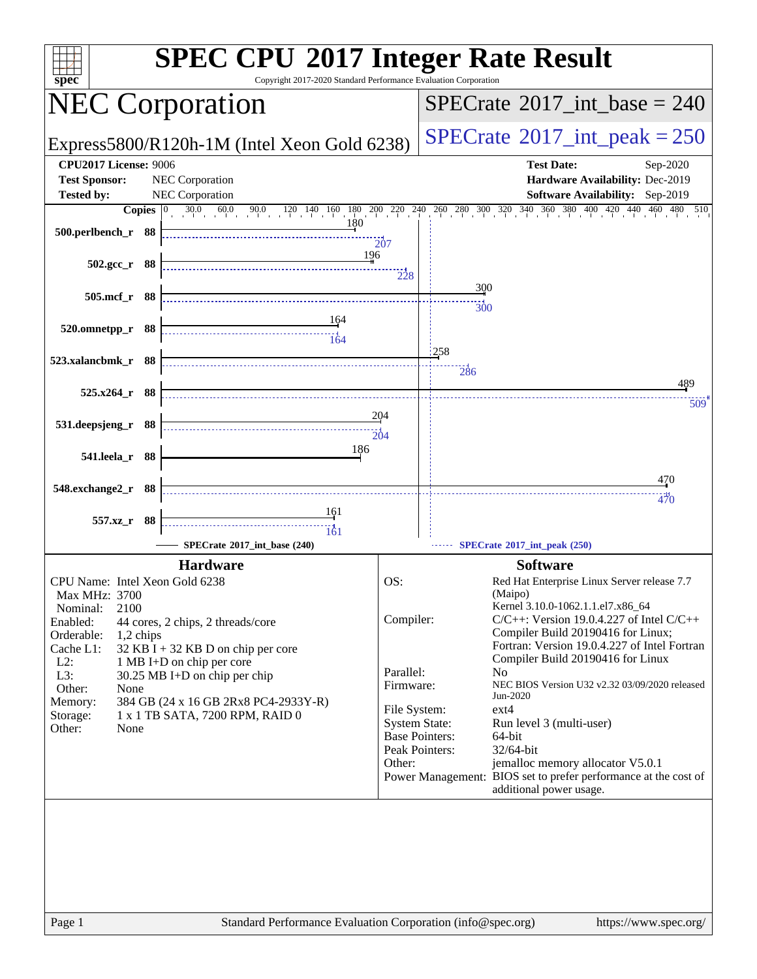| $spec^*$                                                                                                                                                                                            | <b>SPEC CPU®2017 Integer Rate Result</b><br>Copyright 2017-2020 Standard Performance Evaluation Corporation                                                                                                        |                                                                                                                                         |                  |                                                                                                                                                                                                                                                                                                                                                                                                                                                                                                                                                      |  |
|-----------------------------------------------------------------------------------------------------------------------------------------------------------------------------------------------------|--------------------------------------------------------------------------------------------------------------------------------------------------------------------------------------------------------------------|-----------------------------------------------------------------------------------------------------------------------------------------|------------------|------------------------------------------------------------------------------------------------------------------------------------------------------------------------------------------------------------------------------------------------------------------------------------------------------------------------------------------------------------------------------------------------------------------------------------------------------------------------------------------------------------------------------------------------------|--|
| <b>NEC Corporation</b>                                                                                                                                                                              |                                                                                                                                                                                                                    | $SPECrate^{\circ}2017\_int\_base = 240$                                                                                                 |                  |                                                                                                                                                                                                                                                                                                                                                                                                                                                                                                                                                      |  |
|                                                                                                                                                                                                     | Express5800/R120h-1M (Intel Xeon Gold 6238)                                                                                                                                                                        | $SPECTate@2017_int\_peak = 250$                                                                                                         |                  |                                                                                                                                                                                                                                                                                                                                                                                                                                                                                                                                                      |  |
| <b>CPU2017 License: 9006</b><br><b>Test Sponsor:</b><br><b>Tested by:</b>                                                                                                                           | <b>NEC Corporation</b><br>NEC Corporation                                                                                                                                                                          |                                                                                                                                         |                  | <b>Test Date:</b><br>Sep-2020<br>Hardware Availability: Dec-2019<br>Software Availability: Sep-2019                                                                                                                                                                                                                                                                                                                                                                                                                                                  |  |
| Copies $ 0\rangle$                                                                                                                                                                                  |                                                                                                                                                                                                                    |                                                                                                                                         |                  |                                                                                                                                                                                                                                                                                                                                                                                                                                                                                                                                                      |  |
| 500.perlbench_r 88                                                                                                                                                                                  | 180<br>196                                                                                                                                                                                                         | 207                                                                                                                                     |                  | $30.0$ $60.0$ $90.0$ $120$ $140$ $160$ $180$ $200$ $220$ $240$ $260$ $280$ $300$ $320$ $340$ $360$ $380$ $400$ $420$ $440$ $460$ $480$ $510$                                                                                                                                                                                                                                                                                                                                                                                                         |  |
| $502.\text{gcc}_r$ 88                                                                                                                                                                               |                                                                                                                                                                                                                    | $\frac{1}{228}$                                                                                                                         | 300              |                                                                                                                                                                                                                                                                                                                                                                                                                                                                                                                                                      |  |
| 505.mcf_r 88                                                                                                                                                                                        |                                                                                                                                                                                                                    |                                                                                                                                         | $\overline{300}$ |                                                                                                                                                                                                                                                                                                                                                                                                                                                                                                                                                      |  |
| 520.omnetpp_r 88                                                                                                                                                                                    |                                                                                                                                                                                                                    |                                                                                                                                         |                  |                                                                                                                                                                                                                                                                                                                                                                                                                                                                                                                                                      |  |
| 523.xalancbmk r 88                                                                                                                                                                                  |                                                                                                                                                                                                                    |                                                                                                                                         | 1258<br>286      |                                                                                                                                                                                                                                                                                                                                                                                                                                                                                                                                                      |  |
| $525.x264$ r 88                                                                                                                                                                                     |                                                                                                                                                                                                                    |                                                                                                                                         |                  | 489<br>509                                                                                                                                                                                                                                                                                                                                                                                                                                                                                                                                           |  |
| 531.deepsjeng_r 88                                                                                                                                                                                  | <u>204</u>                                                                                                                                                                                                         | $\frac{1}{204}$                                                                                                                         |                  |                                                                                                                                                                                                                                                                                                                                                                                                                                                                                                                                                      |  |
| 541.leela_r 88                                                                                                                                                                                      | 186                                                                                                                                                                                                                |                                                                                                                                         |                  |                                                                                                                                                                                                                                                                                                                                                                                                                                                                                                                                                      |  |
| 548.exchange2_r 88                                                                                                                                                                                  |                                                                                                                                                                                                                    |                                                                                                                                         |                  | 470<br>470                                                                                                                                                                                                                                                                                                                                                                                                                                                                                                                                           |  |
| 557.xz_r 88                                                                                                                                                                                         | 161<br>161                                                                                                                                                                                                         |                                                                                                                                         |                  |                                                                                                                                                                                                                                                                                                                                                                                                                                                                                                                                                      |  |
|                                                                                                                                                                                                     | SPECrate®2017 int base (240)                                                                                                                                                                                       |                                                                                                                                         |                  | SPECrate®2017_int_peak (250)                                                                                                                                                                                                                                                                                                                                                                                                                                                                                                                         |  |
|                                                                                                                                                                                                     | <b>Hardware</b>                                                                                                                                                                                                    |                                                                                                                                         |                  | <b>Software</b>                                                                                                                                                                                                                                                                                                                                                                                                                                                                                                                                      |  |
| CPU Name: Intel Xeon Gold 6238<br>Max MHz: 3700<br>2100<br>Nominal:<br>Enabled:<br>Orderable:<br>1,2 chips<br>Cache L1:<br>$L2$ :<br>L3:<br>Other:<br>None<br>Memory:<br>Storage:<br>Other:<br>None | 44 cores, 2 chips, 2 threads/core<br>$32$ KB I + 32 KB D on chip per core<br>1 MB I+D on chip per core<br>30.25 MB I+D on chip per chip<br>384 GB (24 x 16 GB 2Rx8 PC4-2933Y-R)<br>1 x 1 TB SATA, 7200 RPM, RAID 0 | OS:<br>Compiler:<br>Parallel:<br>Firmware:<br>File System:<br><b>System State:</b><br><b>Base Pointers:</b><br>Peak Pointers:<br>Other: |                  | Red Hat Enterprise Linux Server release 7.7<br>(Maipo)<br>Kernel 3.10.0-1062.1.1.el7.x86_64<br>$C/C++$ : Version 19.0.4.227 of Intel $C/C++$<br>Compiler Build 20190416 for Linux;<br>Fortran: Version 19.0.4.227 of Intel Fortran<br>Compiler Build 20190416 for Linux<br>N <sub>0</sub><br>NEC BIOS Version U32 v2.32 03/09/2020 released<br>Jun-2020<br>ext4<br>Run level 3 (multi-user)<br>64-bit<br>32/64-bit<br>jemalloc memory allocator V5.0.1<br>Power Management: BIOS set to prefer performance at the cost of<br>additional power usage. |  |
| Page 1                                                                                                                                                                                              | Standard Performance Evaluation Corporation (info@spec.org)                                                                                                                                                        |                                                                                                                                         |                  | https://www.spec.org/                                                                                                                                                                                                                                                                                                                                                                                                                                                                                                                                |  |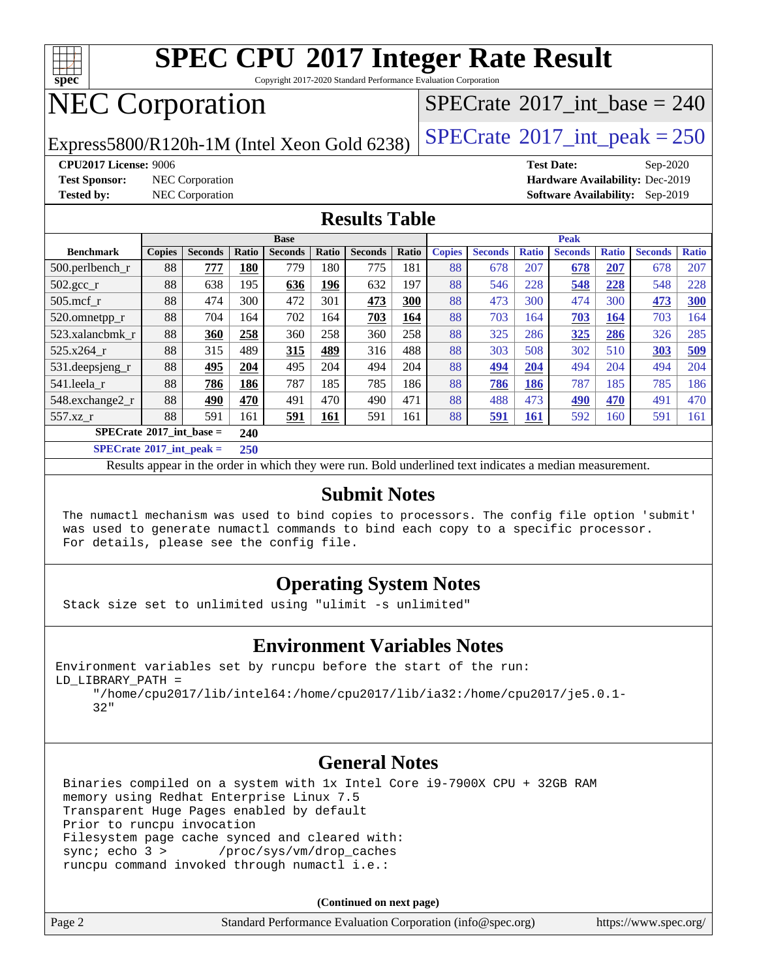

Copyright 2017-2020 Standard Performance Evaluation Corporation

### NEC Corporation

Express5800/R120h-1M (Intel Xeon Gold 6238)  $\left|$  [SPECrate](http://www.spec.org/auto/cpu2017/Docs/result-fields.html#SPECrate2017intpeak)<sup>®</sup>[2017\\_int\\_peak = 2](http://www.spec.org/auto/cpu2017/Docs/result-fields.html#SPECrate2017intpeak)50

 $SPECTate$ <sup>®</sup>[2017\\_int\\_base =](http://www.spec.org/auto/cpu2017/Docs/result-fields.html#SPECrate2017intbase) 240

**[Test Sponsor:](http://www.spec.org/auto/cpu2017/Docs/result-fields.html#TestSponsor)** NEC Corporation **[Hardware Availability:](http://www.spec.org/auto/cpu2017/Docs/result-fields.html#HardwareAvailability)** Dec-2019

**[CPU2017 License:](http://www.spec.org/auto/cpu2017/Docs/result-fields.html#CPU2017License)** 9006 **[Test Date:](http://www.spec.org/auto/cpu2017/Docs/result-fields.html#TestDate)** Sep-2020 **[Tested by:](http://www.spec.org/auto/cpu2017/Docs/result-fields.html#Testedby)** NEC Corporation **[Software Availability:](http://www.spec.org/auto/cpu2017/Docs/result-fields.html#SoftwareAvailability)** Sep-2019

#### **[Results Table](http://www.spec.org/auto/cpu2017/Docs/result-fields.html#ResultsTable)**

|                                   | <b>Base</b>   |                |       |                |       | <b>Peak</b>    |       |               |                |              |                |              |                |              |
|-----------------------------------|---------------|----------------|-------|----------------|-------|----------------|-------|---------------|----------------|--------------|----------------|--------------|----------------|--------------|
| <b>Benchmark</b>                  | <b>Copies</b> | <b>Seconds</b> | Ratio | <b>Seconds</b> | Ratio | <b>Seconds</b> | Ratio | <b>Copies</b> | <b>Seconds</b> | <b>Ratio</b> | <b>Seconds</b> | <b>Ratio</b> | <b>Seconds</b> | <b>Ratio</b> |
| 500.perlbench_r                   | 88            | 777            | 180   | 779            | 180   | 775            | 181   | 88            | 678            | 207          | 678            | 207          | 678            | 207          |
| $502.\text{sec}$                  | 88            | 638            | 195   | 636            | 196   | 632            | 197   | 88            | 546            | 228          | 548            | 228          | 548            | 228          |
| $505$ .mcf r                      | 88            | 474            | 300   | 472            | 301   | 473            | 300   | 88            | 473            | 300          | 474            | 300          | 473            | 300          |
| 520.omnetpp_r                     | 88            | 704            | 164   | 702            | 164   | 703            | 164   | 88            | 703            | 164          | 703            | 164          | 703            | 164          |
| 523.xalancbmk r                   | 88            | 360            | 258   | 360            | 258   | 360            | 258   | 88            | 325            | 286          | <u>325</u>     | 286          | 326            | 285          |
| 525.x264 r                        | 88            | 315            | 489   | 315            | 489   | 316            | 488   | 88            | 303            | 508          | 302            | 510          | 303            | <u>509</u>   |
| 531.deepsjeng_r                   | 88            | 495            | 204   | 495            | 204   | 494            | 204   | 88            | 494            | 204          | 494            | 204          | 494            | 204          |
| 541.leela r                       | 88            | 786            | 186   | 787            | 185   | 785            | 186   | 88            | 786            | 186          | 787            | 185          | 785            | 186          |
| 548.exchange2_r                   | 88            | 490            | 470   | 491            | 470   | 490            | 471   | 88            | 488            | 473          | 490            | 470          | 491            | 470          |
| 557.xz r                          | 88            | 591            | 161   | 591            | 161   | 591            | 161   | 88            | <u>591</u>     | <u>161</u>   | 592            | 160          | 591            | 161          |
| $SPECrate^{\circ}2017$ int base = |               |                | 240   |                |       |                |       |               |                |              |                |              |                |              |
| $SPECrate^{\circ}2017$ int peak = |               |                | 250   |                |       |                |       |               |                |              |                |              |                |              |

Results appear in the [order in which they were run](http://www.spec.org/auto/cpu2017/Docs/result-fields.html#RunOrder). Bold underlined text [indicates a median measurement](http://www.spec.org/auto/cpu2017/Docs/result-fields.html#Median).

### **[Submit Notes](http://www.spec.org/auto/cpu2017/Docs/result-fields.html#SubmitNotes)**

 The numactl mechanism was used to bind copies to processors. The config file option 'submit' was used to generate numactl commands to bind each copy to a specific processor. For details, please see the config file.

### **[Operating System Notes](http://www.spec.org/auto/cpu2017/Docs/result-fields.html#OperatingSystemNotes)**

Stack size set to unlimited using "ulimit -s unlimited"

### **[Environment Variables Notes](http://www.spec.org/auto/cpu2017/Docs/result-fields.html#EnvironmentVariablesNotes)**

Environment variables set by runcpu before the start of the run: LD\_LIBRARY\_PATH =

 "/home/cpu2017/lib/intel64:/home/cpu2017/lib/ia32:/home/cpu2017/je5.0.1- 32"

### **[General Notes](http://www.spec.org/auto/cpu2017/Docs/result-fields.html#GeneralNotes)**

 Binaries compiled on a system with 1x Intel Core i9-7900X CPU + 32GB RAM memory using Redhat Enterprise Linux 7.5 Transparent Huge Pages enabled by default Prior to runcpu invocation Filesystem page cache synced and cleared with: sync; echo 3 > /proc/sys/vm/drop\_caches runcpu command invoked through numactl i.e.:

**(Continued on next page)**

| Page 2 | Standard Performance Evaluation Corporation (info@spec.org) | https://www.spec.org/ |
|--------|-------------------------------------------------------------|-----------------------|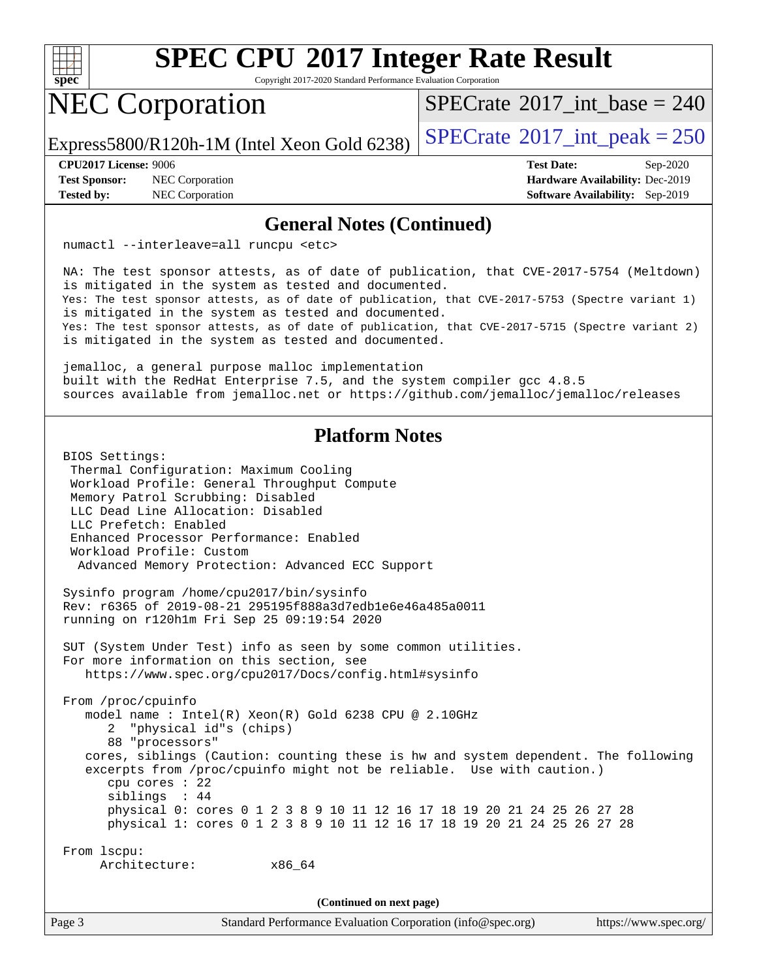

Copyright 2017-2020 Standard Performance Evaluation Corporation

### NEC Corporation

 $SPECTate$ <sup>®</sup>[2017\\_int\\_base =](http://www.spec.org/auto/cpu2017/Docs/result-fields.html#SPECrate2017intbase) 240

Express5800/R120h-1M (Intel Xeon Gold 6238)  $\left|$  [SPECrate](http://www.spec.org/auto/cpu2017/Docs/result-fields.html#SPECrate2017intpeak)<sup>®</sup>[2017\\_int\\_peak = 2](http://www.spec.org/auto/cpu2017/Docs/result-fields.html#SPECrate2017intpeak)50

**[Test Sponsor:](http://www.spec.org/auto/cpu2017/Docs/result-fields.html#TestSponsor)** NEC Corporation **[Hardware Availability:](http://www.spec.org/auto/cpu2017/Docs/result-fields.html#HardwareAvailability)** Dec-2019

**[CPU2017 License:](http://www.spec.org/auto/cpu2017/Docs/result-fields.html#CPU2017License)** 9006 **[Test Date:](http://www.spec.org/auto/cpu2017/Docs/result-fields.html#TestDate)** Sep-2020 **[Tested by:](http://www.spec.org/auto/cpu2017/Docs/result-fields.html#Testedby)** NEC Corporation **[Software Availability:](http://www.spec.org/auto/cpu2017/Docs/result-fields.html#SoftwareAvailability)** Sep-2019

#### **[General Notes \(Continued\)](http://www.spec.org/auto/cpu2017/Docs/result-fields.html#GeneralNotes)**

numactl --interleave=all runcpu <etc>

 NA: The test sponsor attests, as of date of publication, that CVE-2017-5754 (Meltdown) is mitigated in the system as tested and documented. Yes: The test sponsor attests, as of date of publication, that CVE-2017-5753 (Spectre variant 1) is mitigated in the system as tested and documented. Yes: The test sponsor attests, as of date of publication, that CVE-2017-5715 (Spectre variant 2) is mitigated in the system as tested and documented.

 jemalloc, a general purpose malloc implementation built with the RedHat Enterprise 7.5, and the system compiler gcc 4.8.5 sources available from jemalloc.net or<https://github.com/jemalloc/jemalloc/releases>

### **[Platform Notes](http://www.spec.org/auto/cpu2017/Docs/result-fields.html#PlatformNotes)**

Page 3 Standard Performance Evaluation Corporation [\(info@spec.org\)](mailto:info@spec.org) <https://www.spec.org/> BIOS Settings: Thermal Configuration: Maximum Cooling Workload Profile: General Throughput Compute Memory Patrol Scrubbing: Disabled LLC Dead Line Allocation: Disabled LLC Prefetch: Enabled Enhanced Processor Performance: Enabled Workload Profile: Custom Advanced Memory Protection: Advanced ECC Support Sysinfo program /home/cpu2017/bin/sysinfo Rev: r6365 of 2019-08-21 295195f888a3d7edb1e6e46a485a0011 running on r120h1m Fri Sep 25 09:19:54 2020 SUT (System Under Test) info as seen by some common utilities. For more information on this section, see <https://www.spec.org/cpu2017/Docs/config.html#sysinfo> From /proc/cpuinfo model name : Intel(R) Xeon(R) Gold 6238 CPU @ 2.10GHz 2 "physical id"s (chips) 88 "processors" cores, siblings (Caution: counting these is hw and system dependent. The following excerpts from /proc/cpuinfo might not be reliable. Use with caution.) cpu cores : 22 siblings : 44 physical 0: cores 0 1 2 3 8 9 10 11 12 16 17 18 19 20 21 24 25 26 27 28 physical 1: cores 0 1 2 3 8 9 10 11 12 16 17 18 19 20 21 24 25 26 27 28 From lscpu: Architecture: x86\_64 **(Continued on next page)**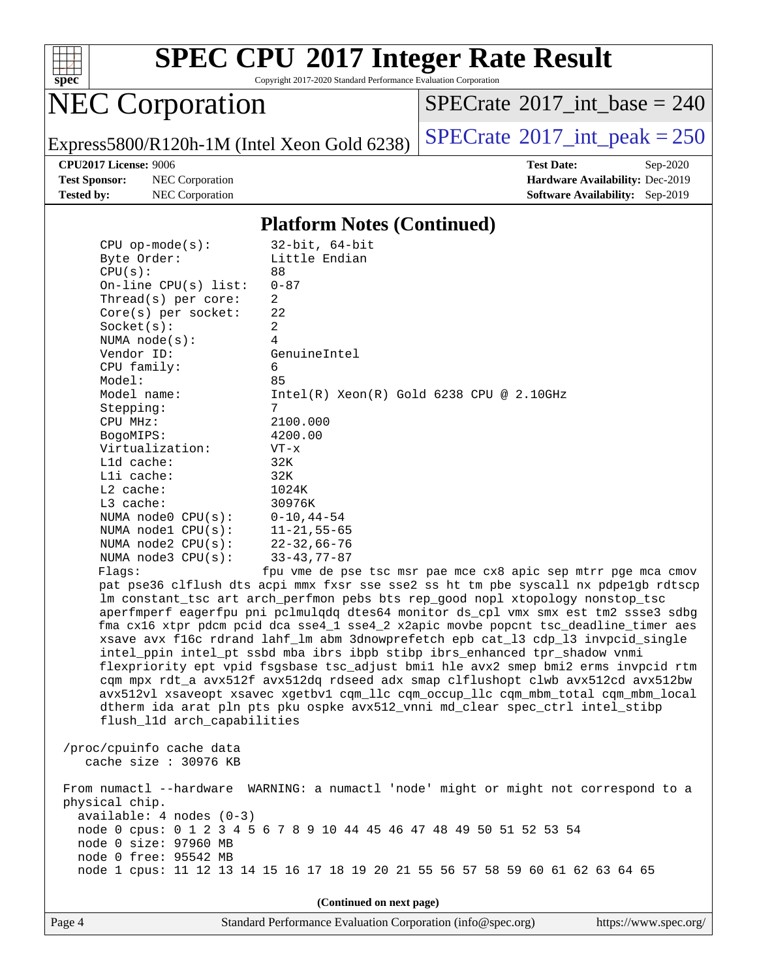

Copyright 2017-2020 Standard Performance Evaluation Corporation

### NEC Corporation

 $SPECTate$ <sup>®</sup>[2017\\_int\\_base =](http://www.spec.org/auto/cpu2017/Docs/result-fields.html#SPECrate2017intbase) 240

Express5800/R120h-1M (Intel Xeon Gold 6238)  $\left|$  [SPECrate](http://www.spec.org/auto/cpu2017/Docs/result-fields.html#SPECrate2017intpeak)<sup>®</sup>[2017\\_int\\_peak = 2](http://www.spec.org/auto/cpu2017/Docs/result-fields.html#SPECrate2017intpeak)50

**[Test Sponsor:](http://www.spec.org/auto/cpu2017/Docs/result-fields.html#TestSponsor)** NEC Corporation **[Hardware Availability:](http://www.spec.org/auto/cpu2017/Docs/result-fields.html#HardwareAvailability)** Dec-2019 **[Tested by:](http://www.spec.org/auto/cpu2017/Docs/result-fields.html#Testedby)** NEC Corporation **[Software Availability:](http://www.spec.org/auto/cpu2017/Docs/result-fields.html#SoftwareAvailability)** Sep-2019

**[CPU2017 License:](http://www.spec.org/auto/cpu2017/Docs/result-fields.html#CPU2017License)** 9006 **[Test Date:](http://www.spec.org/auto/cpu2017/Docs/result-fields.html#TestDate)** Sep-2020

#### **[Platform Notes \(Continued\)](http://www.spec.org/auto/cpu2017/Docs/result-fields.html#PlatformNotes)**

| $CPU$ op-mode $(s)$ :  | $32$ -bit, $64$ -bit                                                                 |
|------------------------|--------------------------------------------------------------------------------------|
| Byte Order:            | Little Endian                                                                        |
| CPU(s):                | 88                                                                                   |
| On-line CPU(s) list:   | $0 - 87$                                                                             |
| Thread(s) per core:    | 2                                                                                    |
| $Core(s)$ per socket:  | 22                                                                                   |
| Socket(s):             | 2                                                                                    |
| NUMA $node(s)$ :       | 4                                                                                    |
| Vendor ID:             | GenuineIntel                                                                         |
| CPU family:            | 6                                                                                    |
| Model:                 | 85                                                                                   |
| Model name:            | $Intel(R)$ Xeon $(R)$ Gold 6238 CPU @ 2.10GHz                                        |
| Stepping:              | 7                                                                                    |
| CPU MHz:               | 2100.000                                                                             |
| BogoMIPS:              | 4200.00                                                                              |
| Virtualization:        | $VT - x$                                                                             |
| L1d cache:             | 32K                                                                                  |
| Lli cache:             | 32K                                                                                  |
| $L2$ cache:            | 1024K                                                                                |
| L3 cache:              | 30976K                                                                               |
| NUMA node0 CPU(s):     | $0 - 10, 44 - 54$                                                                    |
| NUMA nodel CPU(s):     | 11-21,55-65                                                                          |
| NUMA $node2$ $CPU(s):$ | 22-32,66-76                                                                          |
| NUMA node3 CPU(s):     | $33 - 43, 77 - 87$                                                                   |
| Flagg:                 | fpu vme de pse tsc msr pae mce cx8 apic sep mtrr pge mca cmov                        |
|                        | pat pse36 clflush dts acpi mmx fxsr sse sse2 ss ht tm pbe syscall nx pdpe1gb rdtscp  |
|                        | Im constant_tsc art arch_perfmon pebs bts rep_good nopl xtopology nonstop_tsc        |
|                        | aperfmperf eagerfpu pni pclmulqdq dtes64 monitor ds_cpl vmx smx est tm2 ssse3 sdbg   |
|                        | fma cx16 xtpr pdcm pcid dca sse4_1 sse4_2 x2apic movbe popcnt tsc_deadline_timer aes |
|                        | xsave avx f16c rdrand lahf_lm abm 3dnowprefetch epb cat_13 cdp_13 invpcid_single     |
|                        | intel_ppin intel_pt ssbd mba ibrs ibpb stibp ibrs_enhanced tpr_shadow vnmi           |
|                        | flexpriority ept vpid fsgsbase tsc_adjust bmil hle avx2 smep bmi2 erms invpcid rtm   |
|                        | cqm mpx rdt a avx512f avx512dq rdseed adx smap clflushopt clwb avx512cd avx512bw     |

512cd avx512bw avx512vl xsaveopt xsavec xgetbv1 cqm\_llc cqm\_occup\_llc cqm\_mbm\_total cqm\_mbm\_local dtherm ida arat pln pts pku ospke avx512\_vnni md\_clear spec\_ctrl intel\_stibp flush\_l1d arch\_capabilities

 /proc/cpuinfo cache data cache size : 30976 KB

 From numactl --hardware WARNING: a numactl 'node' might or might not correspond to a physical chip. available: 4 nodes (0-3) node 0 cpus: 0 1 2 3 4 5 6 7 8 9 10 44 45 46 47 48 49 50 51 52 53 54 node 0 size: 97960 MB node 0 free: 95542 MB node 1 cpus: 11 12 13 14 15 16 17 18 19 20 21 55 56 57 58 59 60 61 62 63 64 65

**(Continued on next page)**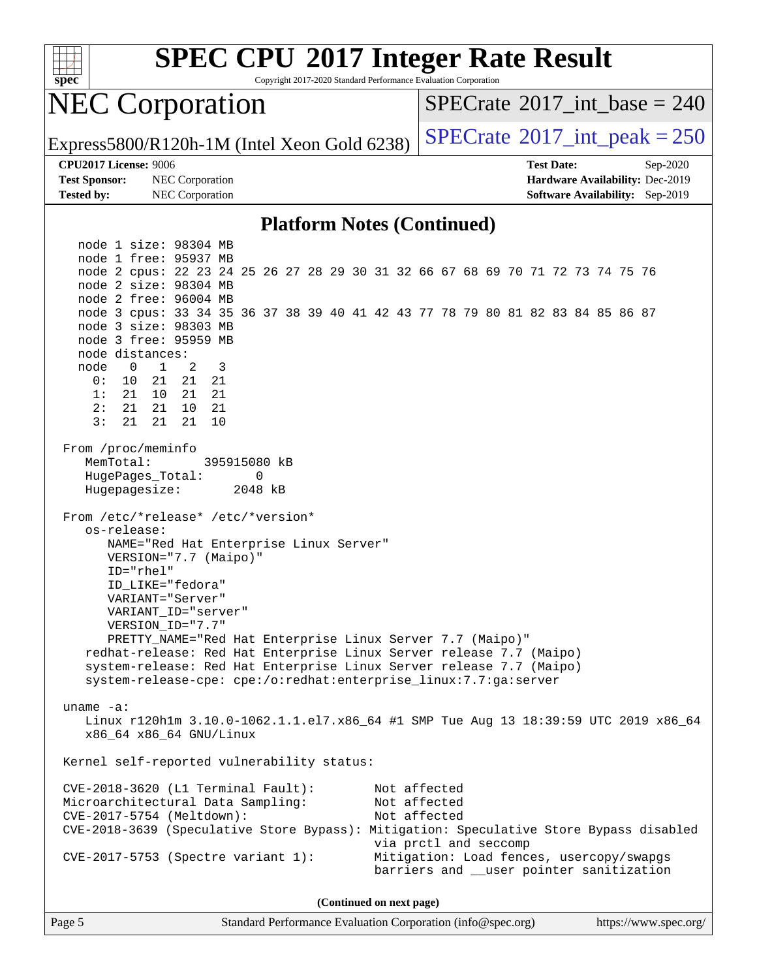

Copyright 2017-2020 Standard Performance Evaluation Corporation

### NEC Corporation

 $SPECTate$ <sup>®</sup>[2017\\_int\\_base =](http://www.spec.org/auto/cpu2017/Docs/result-fields.html#SPECrate2017intbase) 240

Express5800/R120h-1M (Intel Xeon Gold 6238)  $\left|$  [SPECrate](http://www.spec.org/auto/cpu2017/Docs/result-fields.html#SPECrate2017intpeak)<sup>®</sup>[2017\\_int\\_peak = 2](http://www.spec.org/auto/cpu2017/Docs/result-fields.html#SPECrate2017intpeak)50

**[Test Sponsor:](http://www.spec.org/auto/cpu2017/Docs/result-fields.html#TestSponsor)** NEC Corporation **[Hardware Availability:](http://www.spec.org/auto/cpu2017/Docs/result-fields.html#HardwareAvailability)** Dec-2019 **[Tested by:](http://www.spec.org/auto/cpu2017/Docs/result-fields.html#Testedby)** NEC Corporation **[Software Availability:](http://www.spec.org/auto/cpu2017/Docs/result-fields.html#SoftwareAvailability)** Sep-2019

**[CPU2017 License:](http://www.spec.org/auto/cpu2017/Docs/result-fields.html#CPU2017License)** 9006 **[Test Date:](http://www.spec.org/auto/cpu2017/Docs/result-fields.html#TestDate)** Sep-2020

#### **[Platform Notes \(Continued\)](http://www.spec.org/auto/cpu2017/Docs/result-fields.html#PlatformNotes)**

 node 1 size: 98304 MB node 1 free: 95937 MB node 2 cpus: 22 23 24 25 26 27 28 29 30 31 32 66 67 68 69 70 71 72 73 74 75 76 node 2 size: 98304 MB node 2 free: 96004 MB node 3 cpus: 33 34 35 36 37 38 39 40 41 42 43 77 78 79 80 81 82 83 84 85 86 87 node 3 size: 98303 MB node 3 free: 95959 MB node distances: node 0 1 2 3 0: 10 21 21 21 1: 21 10 21 21 2: 21 21 10 21 3: 21 21 21 10 From /proc/meminfo MemTotal: 395915080 kB HugePages\_Total: 0 Hugepagesize: 2048 kB From /etc/\*release\* /etc/\*version\* os-release: NAME="Red Hat Enterprise Linux Server" VERSION="7.7 (Maipo)" ID="rhel" ID\_LIKE="fedora" VARIANT="Server" VARIANT\_ID="server" VERSION\_ID="7.7" PRETTY\_NAME="Red Hat Enterprise Linux Server 7.7 (Maipo)" redhat-release: Red Hat Enterprise Linux Server release 7.7 (Maipo) system-release: Red Hat Enterprise Linux Server release 7.7 (Maipo) system-release-cpe: cpe:/o:redhat:enterprise\_linux:7.7:ga:server uname -a: Linux r120h1m 3.10.0-1062.1.1.el7.x86\_64 #1 SMP Tue Aug 13 18:39:59 UTC 2019 x86\_64 x86\_64 x86\_64 GNU/Linux Kernel self-reported vulnerability status: CVE-2018-3620 (L1 Terminal Fault): Not affected Microarchitectural Data Sampling: Not affected CVE-2017-5754 (Meltdown): Not affected CVE-2018-3639 (Speculative Store Bypass): Mitigation: Speculative Store Bypass disabled via prctl and seccomp CVE-2017-5753 (Spectre variant 1): Mitigation: Load fences, usercopy/swapgs barriers and \_\_user pointer sanitization

**(Continued on next page)**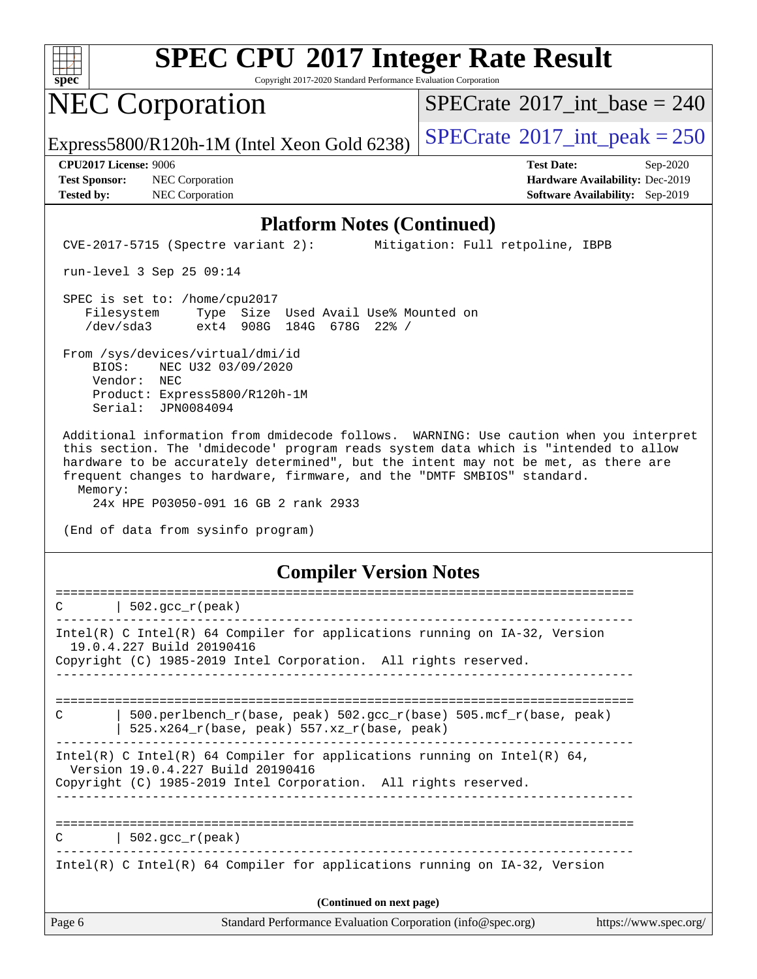

Copyright 2017-2020 Standard Performance Evaluation Corporation

### NEC Corporation

 $SPECTate$ <sup>®</sup>[2017\\_int\\_base =](http://www.spec.org/auto/cpu2017/Docs/result-fields.html#SPECrate2017intbase) 240

Express5800/R120h-1M (Intel Xeon Gold 6238)  $\left|$  [SPECrate](http://www.spec.org/auto/cpu2017/Docs/result-fields.html#SPECrate2017intpeak)<sup>®</sup>[2017\\_int\\_peak = 2](http://www.spec.org/auto/cpu2017/Docs/result-fields.html#SPECrate2017intpeak)50

**[Test Sponsor:](http://www.spec.org/auto/cpu2017/Docs/result-fields.html#TestSponsor)** NEC Corporation **[Hardware Availability:](http://www.spec.org/auto/cpu2017/Docs/result-fields.html#HardwareAvailability)** Dec-2019 **[Tested by:](http://www.spec.org/auto/cpu2017/Docs/result-fields.html#Testedby)** NEC Corporation **[Software Availability:](http://www.spec.org/auto/cpu2017/Docs/result-fields.html#SoftwareAvailability)** Sep-2019

**[CPU2017 License:](http://www.spec.org/auto/cpu2017/Docs/result-fields.html#CPU2017License)** 9006 **[Test Date:](http://www.spec.org/auto/cpu2017/Docs/result-fields.html#TestDate)** Sep-2020

#### **[Platform Notes \(Continued\)](http://www.spec.org/auto/cpu2017/Docs/result-fields.html#PlatformNotes)**

CVE-2017-5715 (Spectre variant 2): Mitigation: Full retpoline, IBPB

run-level 3 Sep 25 09:14

 SPEC is set to: /home/cpu2017 Filesystem Type Size Used Avail Use% Mounted on /dev/sda3 ext4 908G 184G 678G 22% /

 From /sys/devices/virtual/dmi/id BIOS: NEC U32 03/09/2020 Vendor: NEC Product: Express5800/R120h-1M Serial: JPN0084094

 Additional information from dmidecode follows. WARNING: Use caution when you interpret this section. The 'dmidecode' program reads system data which is "intended to allow hardware to be accurately determined", but the intent may not be met, as there are frequent changes to hardware, firmware, and the "DMTF SMBIOS" standard. Memory:

24x HPE P03050-091 16 GB 2 rank 2933

(End of data from sysinfo program)

#### **[Compiler Version Notes](http://www.spec.org/auto/cpu2017/Docs/result-fields.html#CompilerVersionNotes)**

| C      | $502.\text{gcc\_r}(\text{peak})$                                                                                                                                                 |  |
|--------|----------------------------------------------------------------------------------------------------------------------------------------------------------------------------------|--|
|        | Intel(R) C Intel(R) 64 Compiler for applications running on $IA-32$ , Version<br>19.0.4.227 Build 20190416<br>Copyright (C) 1985-2019 Intel Corporation. All rights reserved.    |  |
| C      | 500.perlbench $r(base, peak)$ 502.gcc $r(base)$ 505.mcf $r(base, peak)$<br>$525.x264_r(base, peak) 557.xz_r(base, peak)$                                                         |  |
|        | Intel(R) C Intel(R) 64 Compiler for applications running on Intel(R) 64,<br>Version 19.0.4.227 Build 20190416<br>Copyright (C) 1985-2019 Intel Corporation. All rights reserved. |  |
| C      | $502.\text{gcc_r(peak)}$                                                                                                                                                         |  |
|        | Intel(R) C Intel(R) 64 Compiler for applications running on $IA-32$ , Version                                                                                                    |  |
|        | (Continued on next page)                                                                                                                                                         |  |
| Page 6 | Standard Performance Evaluation Corporation (info@spec.org)<br>https://www.spec.org/                                                                                             |  |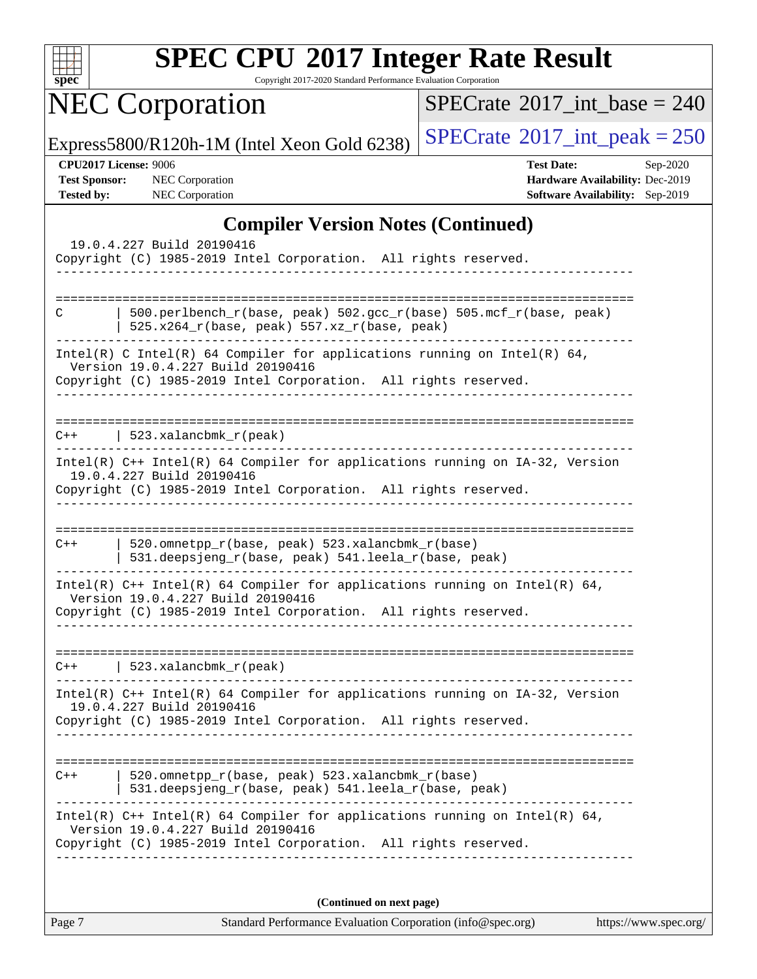

Copyright 2017-2020 Standard Performance Evaluation Corporation

NEC Corporation

 $SPECrate$ <sup>®</sup>[2017\\_int\\_base =](http://www.spec.org/auto/cpu2017/Docs/result-fields.html#SPECrate2017intbase) 240

Express5800/R120h-1M (Intel Xeon Gold 6238)  $\left|$  [SPECrate](http://www.spec.org/auto/cpu2017/Docs/result-fields.html#SPECrate2017intpeak)<sup>®</sup>[2017\\_int\\_peak = 2](http://www.spec.org/auto/cpu2017/Docs/result-fields.html#SPECrate2017intpeak)50

**[Tested by:](http://www.spec.org/auto/cpu2017/Docs/result-fields.html#Testedby)** NEC Corporation **[Software Availability:](http://www.spec.org/auto/cpu2017/Docs/result-fields.html#SoftwareAvailability)** Sep-2019

**[CPU2017 License:](http://www.spec.org/auto/cpu2017/Docs/result-fields.html#CPU2017License)** 9006 **[Test Date:](http://www.spec.org/auto/cpu2017/Docs/result-fields.html#TestDate)** Sep-2020 **[Test Sponsor:](http://www.spec.org/auto/cpu2017/Docs/result-fields.html#TestSponsor)** NEC Corporation **[Hardware Availability:](http://www.spec.org/auto/cpu2017/Docs/result-fields.html#HardwareAvailability)** Dec-2019

### **[Compiler Version Notes \(Continued\)](http://www.spec.org/auto/cpu2017/Docs/result-fields.html#CompilerVersionNotes)**

| 19.0.4.227 Build 20190416<br>Copyright (C) 1985-2019 Intel Corporation. All rights reserved.                                                                                         |  |  |  |
|--------------------------------------------------------------------------------------------------------------------------------------------------------------------------------------|--|--|--|
| 500.perlbench_r(base, peak) 502.gcc_r(base) 505.mcf_r(base, peak)<br>C<br>525.x264_r(base, peak) 557.xz_r(base, peak)                                                                |  |  |  |
| Intel(R) C Intel(R) 64 Compiler for applications running on Intel(R) 64,<br>Version 19.0.4.227 Build 20190416<br>Copyright (C) 1985-2019 Intel Corporation. All rights reserved.     |  |  |  |
| 523.xalancbmk_r(peak)<br>$C++$                                                                                                                                                       |  |  |  |
| Intel(R) C++ Intel(R) 64 Compiler for applications running on IA-32, Version<br>19.0.4.227 Build 20190416<br>Copyright (C) 1985-2019 Intel Corporation. All rights reserved.         |  |  |  |
| ----------------------------<br>520.omnetpp_r(base, peak) 523.xalancbmk_r(base)<br>$C++$<br>531.deepsjeng_r(base, peak) 541.leela_r(base, peak)                                      |  |  |  |
| Intel(R) $C++$ Intel(R) 64 Compiler for applications running on Intel(R) 64,<br>Version 19.0.4.227 Build 20190416<br>Copyright (C) 1985-2019 Intel Corporation. All rights reserved. |  |  |  |
| $523.xalanchm k_r (peak)$<br>$C++$                                                                                                                                                   |  |  |  |
| Intel(R) C++ Intel(R) 64 Compiler for applications running on IA-32, Version<br>19.0.4.227 Build 20190416<br>Copyright (C) 1985-2019 Intel Corporation. All rights reserved.         |  |  |  |
| 520.omnetpp_r(base, peak) 523.xalancbmk_r(base)<br>$C++$<br>  531.deepsjeng_r(base, peak) 541.leela_r(base, peak)                                                                    |  |  |  |
| Intel(R) C++ Intel(R) 64 Compiler for applications running on Intel(R) 64,<br>Version 19.0.4.227 Build 20190416<br>Copyright (C) 1985-2019 Intel Corporation. All rights reserved.   |  |  |  |
| (Continued on next page)                                                                                                                                                             |  |  |  |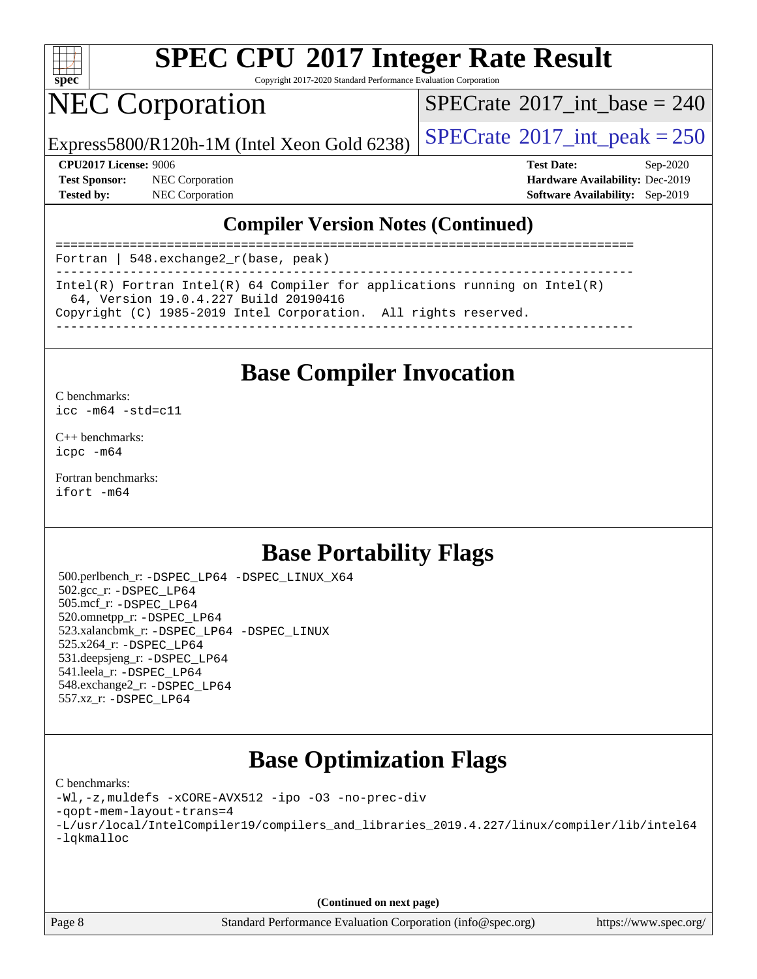

Copyright 2017-2020 Standard Performance Evaluation Corporation

## NEC Corporation

 $SPECTate$ <sup>®</sup>[2017\\_int\\_base =](http://www.spec.org/auto/cpu2017/Docs/result-fields.html#SPECrate2017intbase) 240

Express5800/R120h-1M (Intel Xeon Gold 6238)  $\left|$  [SPECrate](http://www.spec.org/auto/cpu2017/Docs/result-fields.html#SPECrate2017intpeak)<sup>®</sup>[2017\\_int\\_peak = 2](http://www.spec.org/auto/cpu2017/Docs/result-fields.html#SPECrate2017intpeak)50

**[Test Sponsor:](http://www.spec.org/auto/cpu2017/Docs/result-fields.html#TestSponsor)** NEC Corporation **[Hardware Availability:](http://www.spec.org/auto/cpu2017/Docs/result-fields.html#HardwareAvailability)** Dec-2019

**[CPU2017 License:](http://www.spec.org/auto/cpu2017/Docs/result-fields.html#CPU2017License)** 9006 **[Test Date:](http://www.spec.org/auto/cpu2017/Docs/result-fields.html#TestDate)** Sep-2020 **[Tested by:](http://www.spec.org/auto/cpu2017/Docs/result-fields.html#Testedby)** NEC Corporation **[Software Availability:](http://www.spec.org/auto/cpu2017/Docs/result-fields.html#SoftwareAvailability)** Sep-2019

### **[Compiler Version Notes \(Continued\)](http://www.spec.org/auto/cpu2017/Docs/result-fields.html#CompilerVersionNotes)**

| Fortran   548.exchange $2_r$ (base, peak)                                                                           |  |  |  |  |  |
|---------------------------------------------------------------------------------------------------------------------|--|--|--|--|--|
| Intel(R) Fortran Intel(R) 64 Compiler for applications running on Intel(R)<br>64, Version 19.0.4.227 Build 20190416 |  |  |  |  |  |
| Copyright (C) 1985-2019 Intel Corporation. All rights reserved.                                                     |  |  |  |  |  |

### **[Base Compiler Invocation](http://www.spec.org/auto/cpu2017/Docs/result-fields.html#BaseCompilerInvocation)**

[C benchmarks](http://www.spec.org/auto/cpu2017/Docs/result-fields.html#Cbenchmarks): [icc -m64 -std=c11](http://www.spec.org/cpu2017/results/res2020q4/cpu2017-20200928-24117.flags.html#user_CCbase_intel_icc_64bit_c11_33ee0cdaae7deeeab2a9725423ba97205ce30f63b9926c2519791662299b76a0318f32ddfffdc46587804de3178b4f9328c46fa7c2b0cd779d7a61945c91cd35)

[C++ benchmarks:](http://www.spec.org/auto/cpu2017/Docs/result-fields.html#CXXbenchmarks) [icpc -m64](http://www.spec.org/cpu2017/results/res2020q4/cpu2017-20200928-24117.flags.html#user_CXXbase_intel_icpc_64bit_4ecb2543ae3f1412ef961e0650ca070fec7b7afdcd6ed48761b84423119d1bf6bdf5cad15b44d48e7256388bc77273b966e5eb805aefd121eb22e9299b2ec9d9)

[Fortran benchmarks](http://www.spec.org/auto/cpu2017/Docs/result-fields.html#Fortranbenchmarks): [ifort -m64](http://www.spec.org/cpu2017/results/res2020q4/cpu2017-20200928-24117.flags.html#user_FCbase_intel_ifort_64bit_24f2bb282fbaeffd6157abe4f878425411749daecae9a33200eee2bee2fe76f3b89351d69a8130dd5949958ce389cf37ff59a95e7a40d588e8d3a57e0c3fd751)

### **[Base Portability Flags](http://www.spec.org/auto/cpu2017/Docs/result-fields.html#BasePortabilityFlags)**

 500.perlbench\_r: [-DSPEC\\_LP64](http://www.spec.org/cpu2017/results/res2020q4/cpu2017-20200928-24117.flags.html#b500.perlbench_r_basePORTABILITY_DSPEC_LP64) [-DSPEC\\_LINUX\\_X64](http://www.spec.org/cpu2017/results/res2020q4/cpu2017-20200928-24117.flags.html#b500.perlbench_r_baseCPORTABILITY_DSPEC_LINUX_X64) 502.gcc\_r: [-DSPEC\\_LP64](http://www.spec.org/cpu2017/results/res2020q4/cpu2017-20200928-24117.flags.html#suite_basePORTABILITY502_gcc_r_DSPEC_LP64) 505.mcf\_r: [-DSPEC\\_LP64](http://www.spec.org/cpu2017/results/res2020q4/cpu2017-20200928-24117.flags.html#suite_basePORTABILITY505_mcf_r_DSPEC_LP64) 520.omnetpp\_r: [-DSPEC\\_LP64](http://www.spec.org/cpu2017/results/res2020q4/cpu2017-20200928-24117.flags.html#suite_basePORTABILITY520_omnetpp_r_DSPEC_LP64) 523.xalancbmk\_r: [-DSPEC\\_LP64](http://www.spec.org/cpu2017/results/res2020q4/cpu2017-20200928-24117.flags.html#suite_basePORTABILITY523_xalancbmk_r_DSPEC_LP64) [-DSPEC\\_LINUX](http://www.spec.org/cpu2017/results/res2020q4/cpu2017-20200928-24117.flags.html#b523.xalancbmk_r_baseCXXPORTABILITY_DSPEC_LINUX) 525.x264\_r: [-DSPEC\\_LP64](http://www.spec.org/cpu2017/results/res2020q4/cpu2017-20200928-24117.flags.html#suite_basePORTABILITY525_x264_r_DSPEC_LP64) 531.deepsjeng\_r: [-DSPEC\\_LP64](http://www.spec.org/cpu2017/results/res2020q4/cpu2017-20200928-24117.flags.html#suite_basePORTABILITY531_deepsjeng_r_DSPEC_LP64) 541.leela\_r: [-DSPEC\\_LP64](http://www.spec.org/cpu2017/results/res2020q4/cpu2017-20200928-24117.flags.html#suite_basePORTABILITY541_leela_r_DSPEC_LP64) 548.exchange2\_r: [-DSPEC\\_LP64](http://www.spec.org/cpu2017/results/res2020q4/cpu2017-20200928-24117.flags.html#suite_basePORTABILITY548_exchange2_r_DSPEC_LP64) 557.xz\_r: [-DSPEC\\_LP64](http://www.spec.org/cpu2017/results/res2020q4/cpu2017-20200928-24117.flags.html#suite_basePORTABILITY557_xz_r_DSPEC_LP64)

### **[Base Optimization Flags](http://www.spec.org/auto/cpu2017/Docs/result-fields.html#BaseOptimizationFlags)**

#### [C benchmarks](http://www.spec.org/auto/cpu2017/Docs/result-fields.html#Cbenchmarks):

```
-Wl,-z,muldefs -xCORE-AVX512 -ipo -O3 -no-prec-div
-qopt-mem-layout-trans=4
-L/usr/local/IntelCompiler19/compilers_and_libraries_2019.4.227/linux/compiler/lib/intel64
-lqkmalloc
```
**(Continued on next page)**

Page 8 Standard Performance Evaluation Corporation [\(info@spec.org\)](mailto:info@spec.org) <https://www.spec.org/>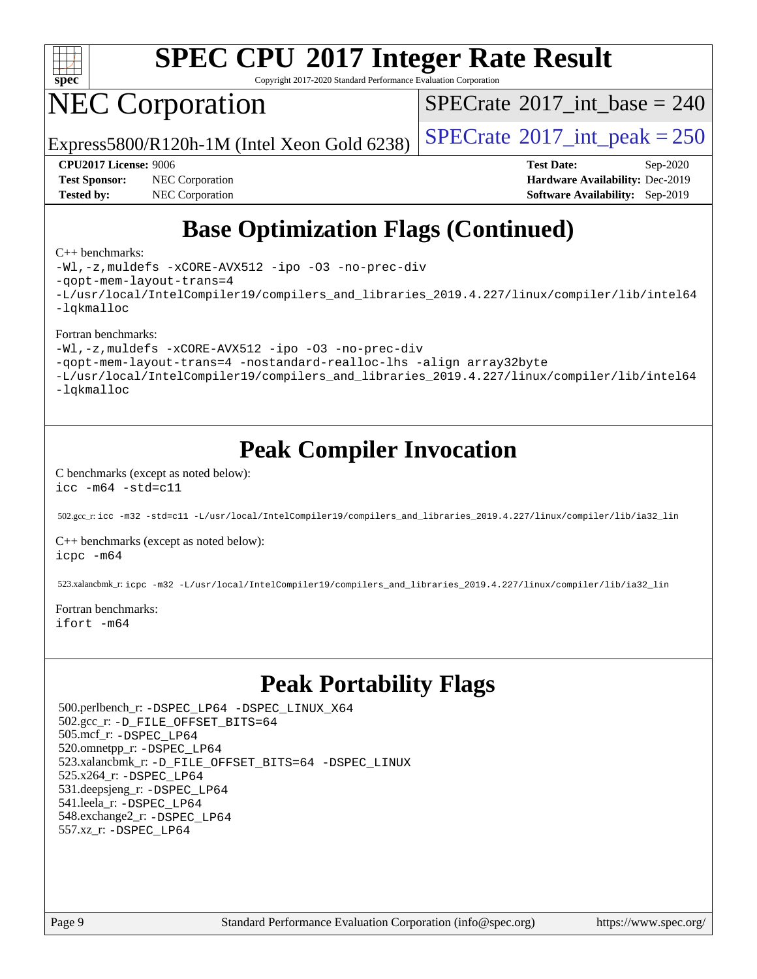

Copyright 2017-2020 Standard Performance Evaluation Corporation

### NEC Corporation

 $SPECTate$ <sup>®</sup>[2017\\_int\\_base =](http://www.spec.org/auto/cpu2017/Docs/result-fields.html#SPECrate2017intbase) 240

Express5800/R120h-1M (Intel Xeon Gold 6238)  $\left|$  [SPECrate](http://www.spec.org/auto/cpu2017/Docs/result-fields.html#SPECrate2017intpeak)<sup>®</sup>[2017\\_int\\_peak = 2](http://www.spec.org/auto/cpu2017/Docs/result-fields.html#SPECrate2017intpeak)50

**[Test Sponsor:](http://www.spec.org/auto/cpu2017/Docs/result-fields.html#TestSponsor)** NEC Corporation **[Hardware Availability:](http://www.spec.org/auto/cpu2017/Docs/result-fields.html#HardwareAvailability)** Dec-2019 **[Tested by:](http://www.spec.org/auto/cpu2017/Docs/result-fields.html#Testedby)** NEC Corporation **[Software Availability:](http://www.spec.org/auto/cpu2017/Docs/result-fields.html#SoftwareAvailability)** Sep-2019

**[CPU2017 License:](http://www.spec.org/auto/cpu2017/Docs/result-fields.html#CPU2017License)** 9006 **[Test Date:](http://www.spec.org/auto/cpu2017/Docs/result-fields.html#TestDate)** Sep-2020

### **[Base Optimization Flags \(Continued\)](http://www.spec.org/auto/cpu2017/Docs/result-fields.html#BaseOptimizationFlags)**

#### [C++ benchmarks:](http://www.spec.org/auto/cpu2017/Docs/result-fields.html#CXXbenchmarks)

[-Wl,-z,muldefs](http://www.spec.org/cpu2017/results/res2020q4/cpu2017-20200928-24117.flags.html#user_CXXbase_link_force_multiple1_b4cbdb97b34bdee9ceefcfe54f4c8ea74255f0b02a4b23e853cdb0e18eb4525ac79b5a88067c842dd0ee6996c24547a27a4b99331201badda8798ef8a743f577) [-xCORE-AVX512](http://www.spec.org/cpu2017/results/res2020q4/cpu2017-20200928-24117.flags.html#user_CXXbase_f-xCORE-AVX512) [-ipo](http://www.spec.org/cpu2017/results/res2020q4/cpu2017-20200928-24117.flags.html#user_CXXbase_f-ipo) [-O3](http://www.spec.org/cpu2017/results/res2020q4/cpu2017-20200928-24117.flags.html#user_CXXbase_f-O3) [-no-prec-div](http://www.spec.org/cpu2017/results/res2020q4/cpu2017-20200928-24117.flags.html#user_CXXbase_f-no-prec-div) [-qopt-mem-layout-trans=4](http://www.spec.org/cpu2017/results/res2020q4/cpu2017-20200928-24117.flags.html#user_CXXbase_f-qopt-mem-layout-trans_fa39e755916c150a61361b7846f310bcdf6f04e385ef281cadf3647acec3f0ae266d1a1d22d972a7087a248fd4e6ca390a3634700869573d231a252c784941a8) [-L/usr/local/IntelCompiler19/compilers\\_and\\_libraries\\_2019.4.227/linux/compiler/lib/intel64](http://www.spec.org/cpu2017/results/res2020q4/cpu2017-20200928-24117.flags.html#user_CXXbase_qkmalloc_link_0ffe0cb02c68ef1b443a077c7888c10c67ca0d1dd7138472156f06a085bbad385f78d49618ad55dca9db3b1608e84afc2f69b4003b1d1ca498a9fc1462ccefda) [-lqkmalloc](http://www.spec.org/cpu2017/results/res2020q4/cpu2017-20200928-24117.flags.html#user_CXXbase_qkmalloc_link_lib_79a818439969f771c6bc311cfd333c00fc099dad35c030f5aab9dda831713d2015205805422f83de8875488a2991c0a156aaa600e1f9138f8fc37004abc96dc5)

#### [Fortran benchmarks:](http://www.spec.org/auto/cpu2017/Docs/result-fields.html#Fortranbenchmarks)

[-Wl,-z,muldefs](http://www.spec.org/cpu2017/results/res2020q4/cpu2017-20200928-24117.flags.html#user_FCbase_link_force_multiple1_b4cbdb97b34bdee9ceefcfe54f4c8ea74255f0b02a4b23e853cdb0e18eb4525ac79b5a88067c842dd0ee6996c24547a27a4b99331201badda8798ef8a743f577) [-xCORE-AVX512](http://www.spec.org/cpu2017/results/res2020q4/cpu2017-20200928-24117.flags.html#user_FCbase_f-xCORE-AVX512) [-ipo](http://www.spec.org/cpu2017/results/res2020q4/cpu2017-20200928-24117.flags.html#user_FCbase_f-ipo) [-O3](http://www.spec.org/cpu2017/results/res2020q4/cpu2017-20200928-24117.flags.html#user_FCbase_f-O3) [-no-prec-div](http://www.spec.org/cpu2017/results/res2020q4/cpu2017-20200928-24117.flags.html#user_FCbase_f-no-prec-div)

[-qopt-mem-layout-trans=4](http://www.spec.org/cpu2017/results/res2020q4/cpu2017-20200928-24117.flags.html#user_FCbase_f-qopt-mem-layout-trans_fa39e755916c150a61361b7846f310bcdf6f04e385ef281cadf3647acec3f0ae266d1a1d22d972a7087a248fd4e6ca390a3634700869573d231a252c784941a8) [-nostandard-realloc-lhs](http://www.spec.org/cpu2017/results/res2020q4/cpu2017-20200928-24117.flags.html#user_FCbase_f_2003_std_realloc_82b4557e90729c0f113870c07e44d33d6f5a304b4f63d4c15d2d0f1fab99f5daaed73bdb9275d9ae411527f28b936061aa8b9c8f2d63842963b95c9dd6426b8a) [-align array32byte](http://www.spec.org/cpu2017/results/res2020q4/cpu2017-20200928-24117.flags.html#user_FCbase_align_array32byte_b982fe038af199962ba9a80c053b8342c548c85b40b8e86eb3cc33dee0d7986a4af373ac2d51c3f7cf710a18d62fdce2948f201cd044323541f22fc0fffc51b6)

[-L/usr/local/IntelCompiler19/compilers\\_and\\_libraries\\_2019.4.227/linux/compiler/lib/intel64](http://www.spec.org/cpu2017/results/res2020q4/cpu2017-20200928-24117.flags.html#user_FCbase_qkmalloc_link_0ffe0cb02c68ef1b443a077c7888c10c67ca0d1dd7138472156f06a085bbad385f78d49618ad55dca9db3b1608e84afc2f69b4003b1d1ca498a9fc1462ccefda) [-lqkmalloc](http://www.spec.org/cpu2017/results/res2020q4/cpu2017-20200928-24117.flags.html#user_FCbase_qkmalloc_link_lib_79a818439969f771c6bc311cfd333c00fc099dad35c030f5aab9dda831713d2015205805422f83de8875488a2991c0a156aaa600e1f9138f8fc37004abc96dc5)

### **[Peak Compiler Invocation](http://www.spec.org/auto/cpu2017/Docs/result-fields.html#PeakCompilerInvocation)**

#### [C benchmarks \(except as noted below\)](http://www.spec.org/auto/cpu2017/Docs/result-fields.html#Cbenchmarksexceptasnotedbelow): [icc -m64 -std=c11](http://www.spec.org/cpu2017/results/res2020q4/cpu2017-20200928-24117.flags.html#user_CCpeak_intel_icc_64bit_c11_33ee0cdaae7deeeab2a9725423ba97205ce30f63b9926c2519791662299b76a0318f32ddfffdc46587804de3178b4f9328c46fa7c2b0cd779d7a61945c91cd35)

502.gcc\_r: [icc -m32 -std=c11 -L/usr/local/IntelCompiler19/compilers\\_and\\_libraries\\_2019.4.227/linux/compiler/lib/ia32\\_lin](http://www.spec.org/cpu2017/results/res2020q4/cpu2017-20200928-24117.flags.html#user_peakCCLD502_gcc_r_intel_icc_38a193a897536fa645efb1dc6ac2bea2bddbbe56f130e144a606d1b2649003f27c79f8814020c1f9355cbbf0d7ab0d194a7a979ee1e2a95641bbb8cf571aac7b)

[C++ benchmarks \(except as noted below\)](http://www.spec.org/auto/cpu2017/Docs/result-fields.html#CXXbenchmarksexceptasnotedbelow): [icpc -m64](http://www.spec.org/cpu2017/results/res2020q4/cpu2017-20200928-24117.flags.html#user_CXXpeak_intel_icpc_64bit_4ecb2543ae3f1412ef961e0650ca070fec7b7afdcd6ed48761b84423119d1bf6bdf5cad15b44d48e7256388bc77273b966e5eb805aefd121eb22e9299b2ec9d9)

523.xalancbmk\_r: [icpc -m32 -L/usr/local/IntelCompiler19/compilers\\_and\\_libraries\\_2019.4.227/linux/compiler/lib/ia32\\_lin](http://www.spec.org/cpu2017/results/res2020q4/cpu2017-20200928-24117.flags.html#user_peakCXXLD523_xalancbmk_r_intel_icpc_840f965b38320ad10acba6032d6ca4c816e722c432c250f3408feae347068ba449f694544a48cf12cd3bde3495e328e6747ab0f629c2925d3062e2ee144af951)

#### [Fortran benchmarks](http://www.spec.org/auto/cpu2017/Docs/result-fields.html#Fortranbenchmarks): [ifort -m64](http://www.spec.org/cpu2017/results/res2020q4/cpu2017-20200928-24117.flags.html#user_FCpeak_intel_ifort_64bit_24f2bb282fbaeffd6157abe4f878425411749daecae9a33200eee2bee2fe76f3b89351d69a8130dd5949958ce389cf37ff59a95e7a40d588e8d3a57e0c3fd751)

### **[Peak Portability Flags](http://www.spec.org/auto/cpu2017/Docs/result-fields.html#PeakPortabilityFlags)**

 500.perlbench\_r: [-DSPEC\\_LP64](http://www.spec.org/cpu2017/results/res2020q4/cpu2017-20200928-24117.flags.html#b500.perlbench_r_peakPORTABILITY_DSPEC_LP64) [-DSPEC\\_LINUX\\_X64](http://www.spec.org/cpu2017/results/res2020q4/cpu2017-20200928-24117.flags.html#b500.perlbench_r_peakCPORTABILITY_DSPEC_LINUX_X64) 502.gcc\_r: [-D\\_FILE\\_OFFSET\\_BITS=64](http://www.spec.org/cpu2017/results/res2020q4/cpu2017-20200928-24117.flags.html#user_peakPORTABILITY502_gcc_r_file_offset_bits_64_5ae949a99b284ddf4e95728d47cb0843d81b2eb0e18bdfe74bbf0f61d0b064f4bda2f10ea5eb90e1dcab0e84dbc592acfc5018bc955c18609f94ddb8d550002c) 505.mcf\_r: [-DSPEC\\_LP64](http://www.spec.org/cpu2017/results/res2020q4/cpu2017-20200928-24117.flags.html#suite_peakPORTABILITY505_mcf_r_DSPEC_LP64) 520.omnetpp\_r: [-DSPEC\\_LP64](http://www.spec.org/cpu2017/results/res2020q4/cpu2017-20200928-24117.flags.html#suite_peakPORTABILITY520_omnetpp_r_DSPEC_LP64) 523.xalancbmk\_r: [-D\\_FILE\\_OFFSET\\_BITS=64](http://www.spec.org/cpu2017/results/res2020q4/cpu2017-20200928-24117.flags.html#user_peakPORTABILITY523_xalancbmk_r_file_offset_bits_64_5ae949a99b284ddf4e95728d47cb0843d81b2eb0e18bdfe74bbf0f61d0b064f4bda2f10ea5eb90e1dcab0e84dbc592acfc5018bc955c18609f94ddb8d550002c) [-DSPEC\\_LINUX](http://www.spec.org/cpu2017/results/res2020q4/cpu2017-20200928-24117.flags.html#b523.xalancbmk_r_peakCXXPORTABILITY_DSPEC_LINUX) 525.x264\_r: [-DSPEC\\_LP64](http://www.spec.org/cpu2017/results/res2020q4/cpu2017-20200928-24117.flags.html#suite_peakPORTABILITY525_x264_r_DSPEC_LP64) 531.deepsjeng\_r: [-DSPEC\\_LP64](http://www.spec.org/cpu2017/results/res2020q4/cpu2017-20200928-24117.flags.html#suite_peakPORTABILITY531_deepsjeng_r_DSPEC_LP64) 541.leela\_r: [-DSPEC\\_LP64](http://www.spec.org/cpu2017/results/res2020q4/cpu2017-20200928-24117.flags.html#suite_peakPORTABILITY541_leela_r_DSPEC_LP64) 548.exchange2\_r: [-DSPEC\\_LP64](http://www.spec.org/cpu2017/results/res2020q4/cpu2017-20200928-24117.flags.html#suite_peakPORTABILITY548_exchange2_r_DSPEC_LP64) 557.xz\_r: [-DSPEC\\_LP64](http://www.spec.org/cpu2017/results/res2020q4/cpu2017-20200928-24117.flags.html#suite_peakPORTABILITY557_xz_r_DSPEC_LP64)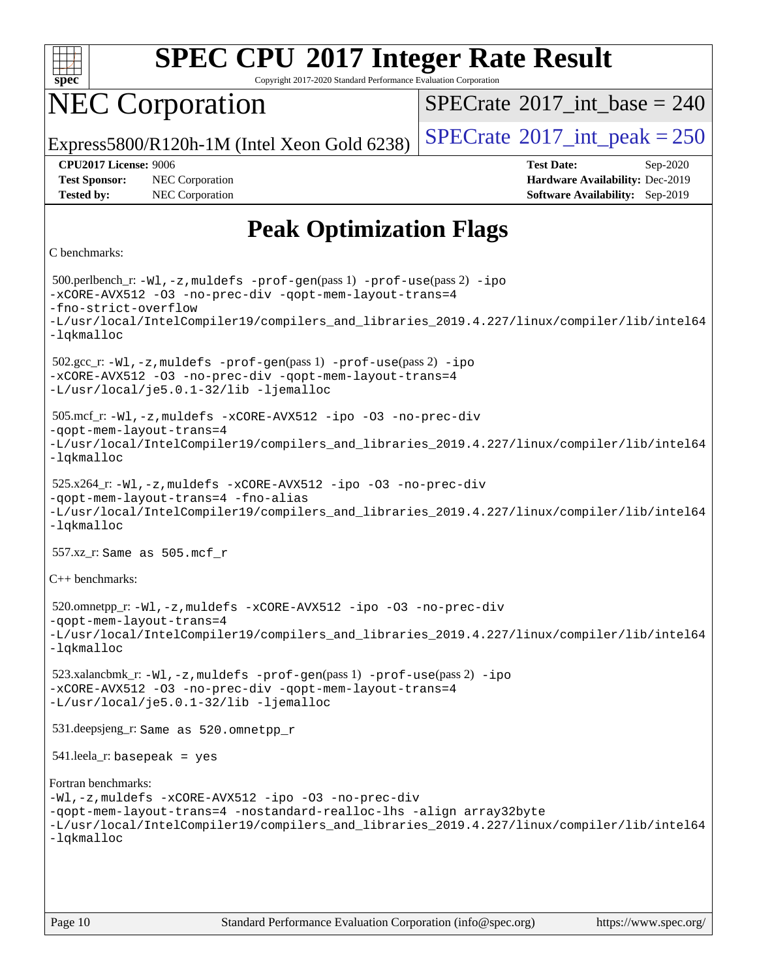

Copyright 2017-2020 Standard Performance Evaluation Corporation

## NEC Corporation

 $SPECTate$ <sup>®</sup>[2017\\_int\\_base =](http://www.spec.org/auto/cpu2017/Docs/result-fields.html#SPECrate2017intbase) 240

Express5800/R120h-1M (Intel Xeon Gold 6238)  $\left|$  [SPECrate](http://www.spec.org/auto/cpu2017/Docs/result-fields.html#SPECrate2017intpeak)<sup>®</sup>[2017\\_int\\_peak = 2](http://www.spec.org/auto/cpu2017/Docs/result-fields.html#SPECrate2017intpeak)50

**[Tested by:](http://www.spec.org/auto/cpu2017/Docs/result-fields.html#Testedby)** NEC Corporation **[Software Availability:](http://www.spec.org/auto/cpu2017/Docs/result-fields.html#SoftwareAvailability)** Sep-2019

**[CPU2017 License:](http://www.spec.org/auto/cpu2017/Docs/result-fields.html#CPU2017License)** 9006 **[Test Date:](http://www.spec.org/auto/cpu2017/Docs/result-fields.html#TestDate)** Sep-2020 **[Test Sponsor:](http://www.spec.org/auto/cpu2017/Docs/result-fields.html#TestSponsor)** NEC Corporation **[Hardware Availability:](http://www.spec.org/auto/cpu2017/Docs/result-fields.html#HardwareAvailability)** Dec-2019

### **[Peak Optimization Flags](http://www.spec.org/auto/cpu2017/Docs/result-fields.html#PeakOptimizationFlags)**

```
C benchmarks:
```
 500.perlbench\_r: [-Wl,-z,muldefs](http://www.spec.org/cpu2017/results/res2020q4/cpu2017-20200928-24117.flags.html#user_peakEXTRA_LDFLAGS500_perlbench_r_link_force_multiple1_b4cbdb97b34bdee9ceefcfe54f4c8ea74255f0b02a4b23e853cdb0e18eb4525ac79b5a88067c842dd0ee6996c24547a27a4b99331201badda8798ef8a743f577) [-prof-gen](http://www.spec.org/cpu2017/results/res2020q4/cpu2017-20200928-24117.flags.html#user_peakPASS1_CFLAGSPASS1_LDFLAGS500_perlbench_r_prof_gen_5aa4926d6013ddb2a31985c654b3eb18169fc0c6952a63635c234f711e6e63dd76e94ad52365559451ec499a2cdb89e4dc58ba4c67ef54ca681ffbe1461d6b36)(pass 1) [-prof-use](http://www.spec.org/cpu2017/results/res2020q4/cpu2017-20200928-24117.flags.html#user_peakPASS2_CFLAGSPASS2_LDFLAGS500_perlbench_r_prof_use_1a21ceae95f36a2b53c25747139a6c16ca95bd9def2a207b4f0849963b97e94f5260e30a0c64f4bb623698870e679ca08317ef8150905d41bd88c6f78df73f19)(pass 2) [-ipo](http://www.spec.org/cpu2017/results/res2020q4/cpu2017-20200928-24117.flags.html#user_peakPASS1_COPTIMIZEPASS2_COPTIMIZE500_perlbench_r_f-ipo) [-xCORE-AVX512](http://www.spec.org/cpu2017/results/res2020q4/cpu2017-20200928-24117.flags.html#user_peakPASS2_COPTIMIZE500_perlbench_r_f-xCORE-AVX512) [-O3](http://www.spec.org/cpu2017/results/res2020q4/cpu2017-20200928-24117.flags.html#user_peakPASS1_COPTIMIZEPASS2_COPTIMIZE500_perlbench_r_f-O3) [-no-prec-div](http://www.spec.org/cpu2017/results/res2020q4/cpu2017-20200928-24117.flags.html#user_peakPASS1_COPTIMIZEPASS2_COPTIMIZE500_perlbench_r_f-no-prec-div) [-qopt-mem-layout-trans=4](http://www.spec.org/cpu2017/results/res2020q4/cpu2017-20200928-24117.flags.html#user_peakPASS1_COPTIMIZEPASS2_COPTIMIZE500_perlbench_r_f-qopt-mem-layout-trans_fa39e755916c150a61361b7846f310bcdf6f04e385ef281cadf3647acec3f0ae266d1a1d22d972a7087a248fd4e6ca390a3634700869573d231a252c784941a8) [-fno-strict-overflow](http://www.spec.org/cpu2017/results/res2020q4/cpu2017-20200928-24117.flags.html#user_peakEXTRA_OPTIMIZE500_perlbench_r_f-fno-strict-overflow) [-L/usr/local/IntelCompiler19/compilers\\_and\\_libraries\\_2019.4.227/linux/compiler/lib/intel64](http://www.spec.org/cpu2017/results/res2020q4/cpu2017-20200928-24117.flags.html#user_peakEXTRA_LIBS500_perlbench_r_qkmalloc_link_0ffe0cb02c68ef1b443a077c7888c10c67ca0d1dd7138472156f06a085bbad385f78d49618ad55dca9db3b1608e84afc2f69b4003b1d1ca498a9fc1462ccefda) [-lqkmalloc](http://www.spec.org/cpu2017/results/res2020q4/cpu2017-20200928-24117.flags.html#user_peakEXTRA_LIBS500_perlbench_r_qkmalloc_link_lib_79a818439969f771c6bc311cfd333c00fc099dad35c030f5aab9dda831713d2015205805422f83de8875488a2991c0a156aaa600e1f9138f8fc37004abc96dc5) 502.gcc\_r: [-Wl,-z,muldefs](http://www.spec.org/cpu2017/results/res2020q4/cpu2017-20200928-24117.flags.html#user_peakEXTRA_LDFLAGS502_gcc_r_link_force_multiple1_b4cbdb97b34bdee9ceefcfe54f4c8ea74255f0b02a4b23e853cdb0e18eb4525ac79b5a88067c842dd0ee6996c24547a27a4b99331201badda8798ef8a743f577) [-prof-gen](http://www.spec.org/cpu2017/results/res2020q4/cpu2017-20200928-24117.flags.html#user_peakPASS1_CFLAGSPASS1_LDFLAGS502_gcc_r_prof_gen_5aa4926d6013ddb2a31985c654b3eb18169fc0c6952a63635c234f711e6e63dd76e94ad52365559451ec499a2cdb89e4dc58ba4c67ef54ca681ffbe1461d6b36)(pass 1) [-prof-use](http://www.spec.org/cpu2017/results/res2020q4/cpu2017-20200928-24117.flags.html#user_peakPASS2_CFLAGSPASS2_LDFLAGS502_gcc_r_prof_use_1a21ceae95f36a2b53c25747139a6c16ca95bd9def2a207b4f0849963b97e94f5260e30a0c64f4bb623698870e679ca08317ef8150905d41bd88c6f78df73f19)(pass 2) [-ipo](http://www.spec.org/cpu2017/results/res2020q4/cpu2017-20200928-24117.flags.html#user_peakPASS1_COPTIMIZEPASS2_COPTIMIZE502_gcc_r_f-ipo) [-xCORE-AVX512](http://www.spec.org/cpu2017/results/res2020q4/cpu2017-20200928-24117.flags.html#user_peakPASS2_COPTIMIZE502_gcc_r_f-xCORE-AVX512) [-O3](http://www.spec.org/cpu2017/results/res2020q4/cpu2017-20200928-24117.flags.html#user_peakPASS1_COPTIMIZEPASS2_COPTIMIZE502_gcc_r_f-O3) [-no-prec-div](http://www.spec.org/cpu2017/results/res2020q4/cpu2017-20200928-24117.flags.html#user_peakPASS1_COPTIMIZEPASS2_COPTIMIZE502_gcc_r_f-no-prec-div) [-qopt-mem-layout-trans=4](http://www.spec.org/cpu2017/results/res2020q4/cpu2017-20200928-24117.flags.html#user_peakPASS1_COPTIMIZEPASS2_COPTIMIZE502_gcc_r_f-qopt-mem-layout-trans_fa39e755916c150a61361b7846f310bcdf6f04e385ef281cadf3647acec3f0ae266d1a1d22d972a7087a248fd4e6ca390a3634700869573d231a252c784941a8) [-L/usr/local/je5.0.1-32/lib](http://www.spec.org/cpu2017/results/res2020q4/cpu2017-20200928-24117.flags.html#user_peakEXTRA_LIBS502_gcc_r_jemalloc_link_path32_e29f22e8e6c17053bbc6a0971f5a9c01a601a06bb1a59df2084b77a2fe0a2995b64fd4256feaeea39eeba3aae142e96e2b2b0a28974019c0c0c88139a84f900a) [-ljemalloc](http://www.spec.org/cpu2017/results/res2020q4/cpu2017-20200928-24117.flags.html#user_peakEXTRA_LIBS502_gcc_r_jemalloc_link_lib_d1249b907c500fa1c0672f44f562e3d0f79738ae9e3c4a9c376d49f265a04b9c99b167ecedbf6711b3085be911c67ff61f150a17b3472be731631ba4d0471706) 505.mcf\_r: [-Wl,-z,muldefs](http://www.spec.org/cpu2017/results/res2020q4/cpu2017-20200928-24117.flags.html#user_peakEXTRA_LDFLAGS505_mcf_r_link_force_multiple1_b4cbdb97b34bdee9ceefcfe54f4c8ea74255f0b02a4b23e853cdb0e18eb4525ac79b5a88067c842dd0ee6996c24547a27a4b99331201badda8798ef8a743f577) [-xCORE-AVX512](http://www.spec.org/cpu2017/results/res2020q4/cpu2017-20200928-24117.flags.html#user_peakCOPTIMIZE505_mcf_r_f-xCORE-AVX512) [-ipo](http://www.spec.org/cpu2017/results/res2020q4/cpu2017-20200928-24117.flags.html#user_peakCOPTIMIZE505_mcf_r_f-ipo) [-O3](http://www.spec.org/cpu2017/results/res2020q4/cpu2017-20200928-24117.flags.html#user_peakCOPTIMIZE505_mcf_r_f-O3) [-no-prec-div](http://www.spec.org/cpu2017/results/res2020q4/cpu2017-20200928-24117.flags.html#user_peakCOPTIMIZE505_mcf_r_f-no-prec-div) [-qopt-mem-layout-trans=4](http://www.spec.org/cpu2017/results/res2020q4/cpu2017-20200928-24117.flags.html#user_peakCOPTIMIZE505_mcf_r_f-qopt-mem-layout-trans_fa39e755916c150a61361b7846f310bcdf6f04e385ef281cadf3647acec3f0ae266d1a1d22d972a7087a248fd4e6ca390a3634700869573d231a252c784941a8) [-L/usr/local/IntelCompiler19/compilers\\_and\\_libraries\\_2019.4.227/linux/compiler/lib/intel64](http://www.spec.org/cpu2017/results/res2020q4/cpu2017-20200928-24117.flags.html#user_peakEXTRA_LIBS505_mcf_r_qkmalloc_link_0ffe0cb02c68ef1b443a077c7888c10c67ca0d1dd7138472156f06a085bbad385f78d49618ad55dca9db3b1608e84afc2f69b4003b1d1ca498a9fc1462ccefda) [-lqkmalloc](http://www.spec.org/cpu2017/results/res2020q4/cpu2017-20200928-24117.flags.html#user_peakEXTRA_LIBS505_mcf_r_qkmalloc_link_lib_79a818439969f771c6bc311cfd333c00fc099dad35c030f5aab9dda831713d2015205805422f83de8875488a2991c0a156aaa600e1f9138f8fc37004abc96dc5) 525.x264\_r: [-Wl,-z,muldefs](http://www.spec.org/cpu2017/results/res2020q4/cpu2017-20200928-24117.flags.html#user_peakEXTRA_LDFLAGS525_x264_r_link_force_multiple1_b4cbdb97b34bdee9ceefcfe54f4c8ea74255f0b02a4b23e853cdb0e18eb4525ac79b5a88067c842dd0ee6996c24547a27a4b99331201badda8798ef8a743f577) [-xCORE-AVX512](http://www.spec.org/cpu2017/results/res2020q4/cpu2017-20200928-24117.flags.html#user_peakCOPTIMIZE525_x264_r_f-xCORE-AVX512) [-ipo](http://www.spec.org/cpu2017/results/res2020q4/cpu2017-20200928-24117.flags.html#user_peakCOPTIMIZE525_x264_r_f-ipo) [-O3](http://www.spec.org/cpu2017/results/res2020q4/cpu2017-20200928-24117.flags.html#user_peakCOPTIMIZE525_x264_r_f-O3) [-no-prec-div](http://www.spec.org/cpu2017/results/res2020q4/cpu2017-20200928-24117.flags.html#user_peakCOPTIMIZE525_x264_r_f-no-prec-div) [-qopt-mem-layout-trans=4](http://www.spec.org/cpu2017/results/res2020q4/cpu2017-20200928-24117.flags.html#user_peakCOPTIMIZE525_x264_r_f-qopt-mem-layout-trans_fa39e755916c150a61361b7846f310bcdf6f04e385ef281cadf3647acec3f0ae266d1a1d22d972a7087a248fd4e6ca390a3634700869573d231a252c784941a8) [-fno-alias](http://www.spec.org/cpu2017/results/res2020q4/cpu2017-20200928-24117.flags.html#user_peakEXTRA_OPTIMIZE525_x264_r_f-no-alias_77dbac10d91cbfe898fbf4a29d1b29b694089caa623bdd1baccc9957d4edbe8d106c0b357e2748a65b44fc9e83d78098bb898077f3fe92f9faf24f7bd4a07ed7) [-L/usr/local/IntelCompiler19/compilers\\_and\\_libraries\\_2019.4.227/linux/compiler/lib/intel64](http://www.spec.org/cpu2017/results/res2020q4/cpu2017-20200928-24117.flags.html#user_peakEXTRA_LIBS525_x264_r_qkmalloc_link_0ffe0cb02c68ef1b443a077c7888c10c67ca0d1dd7138472156f06a085bbad385f78d49618ad55dca9db3b1608e84afc2f69b4003b1d1ca498a9fc1462ccefda) [-lqkmalloc](http://www.spec.org/cpu2017/results/res2020q4/cpu2017-20200928-24117.flags.html#user_peakEXTRA_LIBS525_x264_r_qkmalloc_link_lib_79a818439969f771c6bc311cfd333c00fc099dad35c030f5aab9dda831713d2015205805422f83de8875488a2991c0a156aaa600e1f9138f8fc37004abc96dc5) 557.xz\_r: Same as 505.mcf\_r [C++ benchmarks](http://www.spec.org/auto/cpu2017/Docs/result-fields.html#CXXbenchmarks): 520.omnetpp\_r: [-Wl,-z,muldefs](http://www.spec.org/cpu2017/results/res2020q4/cpu2017-20200928-24117.flags.html#user_peakEXTRA_LDFLAGS520_omnetpp_r_link_force_multiple1_b4cbdb97b34bdee9ceefcfe54f4c8ea74255f0b02a4b23e853cdb0e18eb4525ac79b5a88067c842dd0ee6996c24547a27a4b99331201badda8798ef8a743f577) [-xCORE-AVX512](http://www.spec.org/cpu2017/results/res2020q4/cpu2017-20200928-24117.flags.html#user_peakCXXOPTIMIZE520_omnetpp_r_f-xCORE-AVX512) [-ipo](http://www.spec.org/cpu2017/results/res2020q4/cpu2017-20200928-24117.flags.html#user_peakCXXOPTIMIZE520_omnetpp_r_f-ipo) [-O3](http://www.spec.org/cpu2017/results/res2020q4/cpu2017-20200928-24117.flags.html#user_peakCXXOPTIMIZE520_omnetpp_r_f-O3) [-no-prec-div](http://www.spec.org/cpu2017/results/res2020q4/cpu2017-20200928-24117.flags.html#user_peakCXXOPTIMIZE520_omnetpp_r_f-no-prec-div) [-qopt-mem-layout-trans=4](http://www.spec.org/cpu2017/results/res2020q4/cpu2017-20200928-24117.flags.html#user_peakCXXOPTIMIZE520_omnetpp_r_f-qopt-mem-layout-trans_fa39e755916c150a61361b7846f310bcdf6f04e385ef281cadf3647acec3f0ae266d1a1d22d972a7087a248fd4e6ca390a3634700869573d231a252c784941a8) [-L/usr/local/IntelCompiler19/compilers\\_and\\_libraries\\_2019.4.227/linux/compiler/lib/intel64](http://www.spec.org/cpu2017/results/res2020q4/cpu2017-20200928-24117.flags.html#user_peakEXTRA_LIBS520_omnetpp_r_qkmalloc_link_0ffe0cb02c68ef1b443a077c7888c10c67ca0d1dd7138472156f06a085bbad385f78d49618ad55dca9db3b1608e84afc2f69b4003b1d1ca498a9fc1462ccefda) [-lqkmalloc](http://www.spec.org/cpu2017/results/res2020q4/cpu2017-20200928-24117.flags.html#user_peakEXTRA_LIBS520_omnetpp_r_qkmalloc_link_lib_79a818439969f771c6bc311cfd333c00fc099dad35c030f5aab9dda831713d2015205805422f83de8875488a2991c0a156aaa600e1f9138f8fc37004abc96dc5) 523.xalancbmk\_r: [-Wl,-z,muldefs](http://www.spec.org/cpu2017/results/res2020q4/cpu2017-20200928-24117.flags.html#user_peakEXTRA_LDFLAGS523_xalancbmk_r_link_force_multiple1_b4cbdb97b34bdee9ceefcfe54f4c8ea74255f0b02a4b23e853cdb0e18eb4525ac79b5a88067c842dd0ee6996c24547a27a4b99331201badda8798ef8a743f577) [-prof-gen](http://www.spec.org/cpu2017/results/res2020q4/cpu2017-20200928-24117.flags.html#user_peakPASS1_CXXFLAGSPASS1_LDFLAGS523_xalancbmk_r_prof_gen_5aa4926d6013ddb2a31985c654b3eb18169fc0c6952a63635c234f711e6e63dd76e94ad52365559451ec499a2cdb89e4dc58ba4c67ef54ca681ffbe1461d6b36)(pass 1) [-prof-use](http://www.spec.org/cpu2017/results/res2020q4/cpu2017-20200928-24117.flags.html#user_peakPASS2_CXXFLAGSPASS2_LDFLAGS523_xalancbmk_r_prof_use_1a21ceae95f36a2b53c25747139a6c16ca95bd9def2a207b4f0849963b97e94f5260e30a0c64f4bb623698870e679ca08317ef8150905d41bd88c6f78df73f19)(pass 2) [-ipo](http://www.spec.org/cpu2017/results/res2020q4/cpu2017-20200928-24117.flags.html#user_peakPASS1_CXXOPTIMIZEPASS2_CXXOPTIMIZE523_xalancbmk_r_f-ipo) [-xCORE-AVX512](http://www.spec.org/cpu2017/results/res2020q4/cpu2017-20200928-24117.flags.html#user_peakPASS2_CXXOPTIMIZE523_xalancbmk_r_f-xCORE-AVX512) [-O3](http://www.spec.org/cpu2017/results/res2020q4/cpu2017-20200928-24117.flags.html#user_peakPASS1_CXXOPTIMIZEPASS2_CXXOPTIMIZE523_xalancbmk_r_f-O3) [-no-prec-div](http://www.spec.org/cpu2017/results/res2020q4/cpu2017-20200928-24117.flags.html#user_peakPASS1_CXXOPTIMIZEPASS2_CXXOPTIMIZE523_xalancbmk_r_f-no-prec-div) [-qopt-mem-layout-trans=4](http://www.spec.org/cpu2017/results/res2020q4/cpu2017-20200928-24117.flags.html#user_peakPASS1_CXXOPTIMIZEPASS2_CXXOPTIMIZE523_xalancbmk_r_f-qopt-mem-layout-trans_fa39e755916c150a61361b7846f310bcdf6f04e385ef281cadf3647acec3f0ae266d1a1d22d972a7087a248fd4e6ca390a3634700869573d231a252c784941a8) [-L/usr/local/je5.0.1-32/lib](http://www.spec.org/cpu2017/results/res2020q4/cpu2017-20200928-24117.flags.html#user_peakEXTRA_LIBS523_xalancbmk_r_jemalloc_link_path32_e29f22e8e6c17053bbc6a0971f5a9c01a601a06bb1a59df2084b77a2fe0a2995b64fd4256feaeea39eeba3aae142e96e2b2b0a28974019c0c0c88139a84f900a) [-ljemalloc](http://www.spec.org/cpu2017/results/res2020q4/cpu2017-20200928-24117.flags.html#user_peakEXTRA_LIBS523_xalancbmk_r_jemalloc_link_lib_d1249b907c500fa1c0672f44f562e3d0f79738ae9e3c4a9c376d49f265a04b9c99b167ecedbf6711b3085be911c67ff61f150a17b3472be731631ba4d0471706) 531.deepsjeng\_r: Same as 520.omnetpp\_r 541.leela\_r: basepeak = yes [Fortran benchmarks:](http://www.spec.org/auto/cpu2017/Docs/result-fields.html#Fortranbenchmarks) [-Wl,-z,muldefs](http://www.spec.org/cpu2017/results/res2020q4/cpu2017-20200928-24117.flags.html#user_FCpeak_link_force_multiple1_b4cbdb97b34bdee9ceefcfe54f4c8ea74255f0b02a4b23e853cdb0e18eb4525ac79b5a88067c842dd0ee6996c24547a27a4b99331201badda8798ef8a743f577) [-xCORE-AVX512](http://www.spec.org/cpu2017/results/res2020q4/cpu2017-20200928-24117.flags.html#user_FCpeak_f-xCORE-AVX512) [-ipo](http://www.spec.org/cpu2017/results/res2020q4/cpu2017-20200928-24117.flags.html#user_FCpeak_f-ipo) [-O3](http://www.spec.org/cpu2017/results/res2020q4/cpu2017-20200928-24117.flags.html#user_FCpeak_f-O3) [-no-prec-div](http://www.spec.org/cpu2017/results/res2020q4/cpu2017-20200928-24117.flags.html#user_FCpeak_f-no-prec-div) [-qopt-mem-layout-trans=4](http://www.spec.org/cpu2017/results/res2020q4/cpu2017-20200928-24117.flags.html#user_FCpeak_f-qopt-mem-layout-trans_fa39e755916c150a61361b7846f310bcdf6f04e385ef281cadf3647acec3f0ae266d1a1d22d972a7087a248fd4e6ca390a3634700869573d231a252c784941a8) [-nostandard-realloc-lhs](http://www.spec.org/cpu2017/results/res2020q4/cpu2017-20200928-24117.flags.html#user_FCpeak_f_2003_std_realloc_82b4557e90729c0f113870c07e44d33d6f5a304b4f63d4c15d2d0f1fab99f5daaed73bdb9275d9ae411527f28b936061aa8b9c8f2d63842963b95c9dd6426b8a) [-align array32byte](http://www.spec.org/cpu2017/results/res2020q4/cpu2017-20200928-24117.flags.html#user_FCpeak_align_array32byte_b982fe038af199962ba9a80c053b8342c548c85b40b8e86eb3cc33dee0d7986a4af373ac2d51c3f7cf710a18d62fdce2948f201cd044323541f22fc0fffc51b6) [-L/usr/local/IntelCompiler19/compilers\\_and\\_libraries\\_2019.4.227/linux/compiler/lib/intel64](http://www.spec.org/cpu2017/results/res2020q4/cpu2017-20200928-24117.flags.html#user_FCpeak_qkmalloc_link_0ffe0cb02c68ef1b443a077c7888c10c67ca0d1dd7138472156f06a085bbad385f78d49618ad55dca9db3b1608e84afc2f69b4003b1d1ca498a9fc1462ccefda) [-lqkmalloc](http://www.spec.org/cpu2017/results/res2020q4/cpu2017-20200928-24117.flags.html#user_FCpeak_qkmalloc_link_lib_79a818439969f771c6bc311cfd333c00fc099dad35c030f5aab9dda831713d2015205805422f83de8875488a2991c0a156aaa600e1f9138f8fc37004abc96dc5)